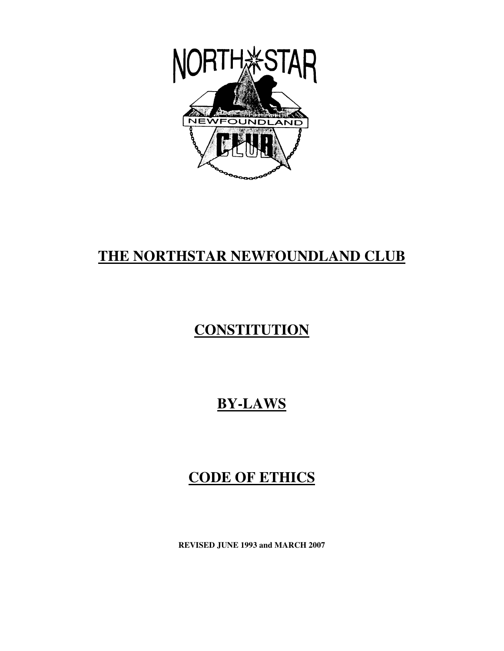

## **THE NORTHSTAR NEWFOUNDLAND CLUB**

# **CONSTITUTION**

## **BY-LAWS**

## **CODE OF ETHICS**

**REVISED JUNE 1993 and MARCH 2007**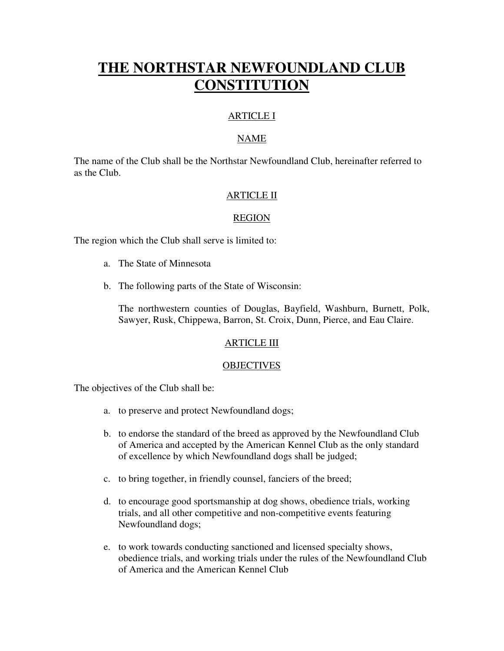## **THE NORTHSTAR NEWFOUNDLAND CLUB CONSTITUTION**

### ARTICLE I

#### NAME

The name of the Club shall be the Northstar Newfoundland Club, hereinafter referred to as the Club.

#### ARTICLE II

#### REGION

The region which the Club shall serve is limited to:

- a. The State of Minnesota
- b. The following parts of the State of Wisconsin:

The northwestern counties of Douglas, Bayfield, Washburn, Burnett, Polk, Sawyer, Rusk, Chippewa, Barron, St. Croix, Dunn, Pierce, and Eau Claire.

#### ARTICLE III

#### **OBJECTIVES**

The objectives of the Club shall be:

- a. to preserve and protect Newfoundland dogs;
- b. to endorse the standard of the breed as approved by the Newfoundland Club of America and accepted by the American Kennel Club as the only standard of excellence by which Newfoundland dogs shall be judged;
- c. to bring together, in friendly counsel, fanciers of the breed;
- d. to encourage good sportsmanship at dog shows, obedience trials, working trials, and all other competitive and non-competitive events featuring Newfoundland dogs;
- e. to work towards conducting sanctioned and licensed specialty shows, obedience trials, and working trials under the rules of the Newfoundland Club of America and the American Kennel Club